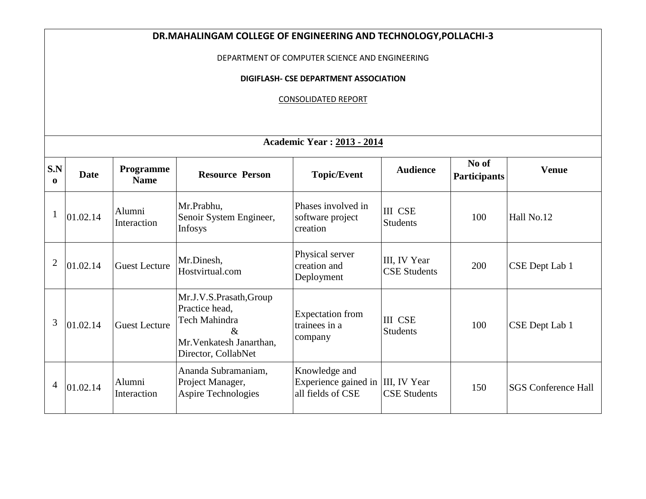| DR.MAHALINGAM COLLEGE OF ENGINEERING AND TECHNOLOGY, POLLACHI-3 |                                                                                         |                          |                                                                                                                       |                                                                         |                                     |                              |                            |  |  |  |  |  |
|-----------------------------------------------------------------|-----------------------------------------------------------------------------------------|--------------------------|-----------------------------------------------------------------------------------------------------------------------|-------------------------------------------------------------------------|-------------------------------------|------------------------------|----------------------------|--|--|--|--|--|
|                                                                 | DEPARTMENT OF COMPUTER SCIENCE AND ENGINEERING<br>DIGIFLASH- CSE DEPARTMENT ASSOCIATION |                          |                                                                                                                       |                                                                         |                                     |                              |                            |  |  |  |  |  |
|                                                                 |                                                                                         |                          |                                                                                                                       |                                                                         |                                     |                              |                            |  |  |  |  |  |
| <b>CONSOLIDATED REPORT</b>                                      |                                                                                         |                          |                                                                                                                       |                                                                         |                                     |                              |                            |  |  |  |  |  |
|                                                                 |                                                                                         |                          |                                                                                                                       |                                                                         |                                     |                              |                            |  |  |  |  |  |
|                                                                 | <b>Academic Year: 2013 - 2014</b>                                                       |                          |                                                                                                                       |                                                                         |                                     |                              |                            |  |  |  |  |  |
| S.N<br>$\mathbf{o}$                                             | <b>Date</b>                                                                             | Programme<br><b>Name</b> | <b>Resource Person</b>                                                                                                | <b>Topic/Event</b>                                                      | <b>Audience</b>                     | No of<br><b>Participants</b> | <b>Venue</b>               |  |  |  |  |  |
| $\mathbf{1}$                                                    | 01.02.14                                                                                | Alumni<br>Interaction    | Mr.Prabhu,<br>Senoir System Engineer,<br>Infosys                                                                      | Phases involved in<br>software project<br>creation                      | <b>III CSE</b><br><b>Students</b>   | 100                          | Hall No.12                 |  |  |  |  |  |
| $\overline{2}$                                                  | 01.02.14                                                                                | <b>Guest Lecture</b>     | Mr.Dinesh,<br>Hostvirtual.com                                                                                         | Physical server<br>creation and<br>Deployment                           | III, IV Year<br><b>CSE Students</b> | 200                          | CSE Dept Lab 1             |  |  |  |  |  |
| 3                                                               | 01.02.14                                                                                | <b>Guest Lecture</b>     | Mr.J.V.S.Prasath, Group<br>Practice head,<br>Tech Mahindra<br>$\&$<br>Mr. Venkatesh Janarthan,<br>Director, CollabNet | <b>Expectation</b> from<br>trainees in a<br>company                     | <b>III CSE</b><br><b>Students</b>   | 100                          | CSE Dept Lab 1             |  |  |  |  |  |
| $\overline{4}$                                                  | 01.02.14                                                                                | Alumni<br>Interaction    | Ananda Subramaniam,<br>Project Manager,<br><b>Aspire Technologies</b>                                                 | Knowledge and<br>Experience gained in III, IV Year<br>all fields of CSE | <b>CSE Students</b>                 | 150                          | <b>SGS Conference Hall</b> |  |  |  |  |  |